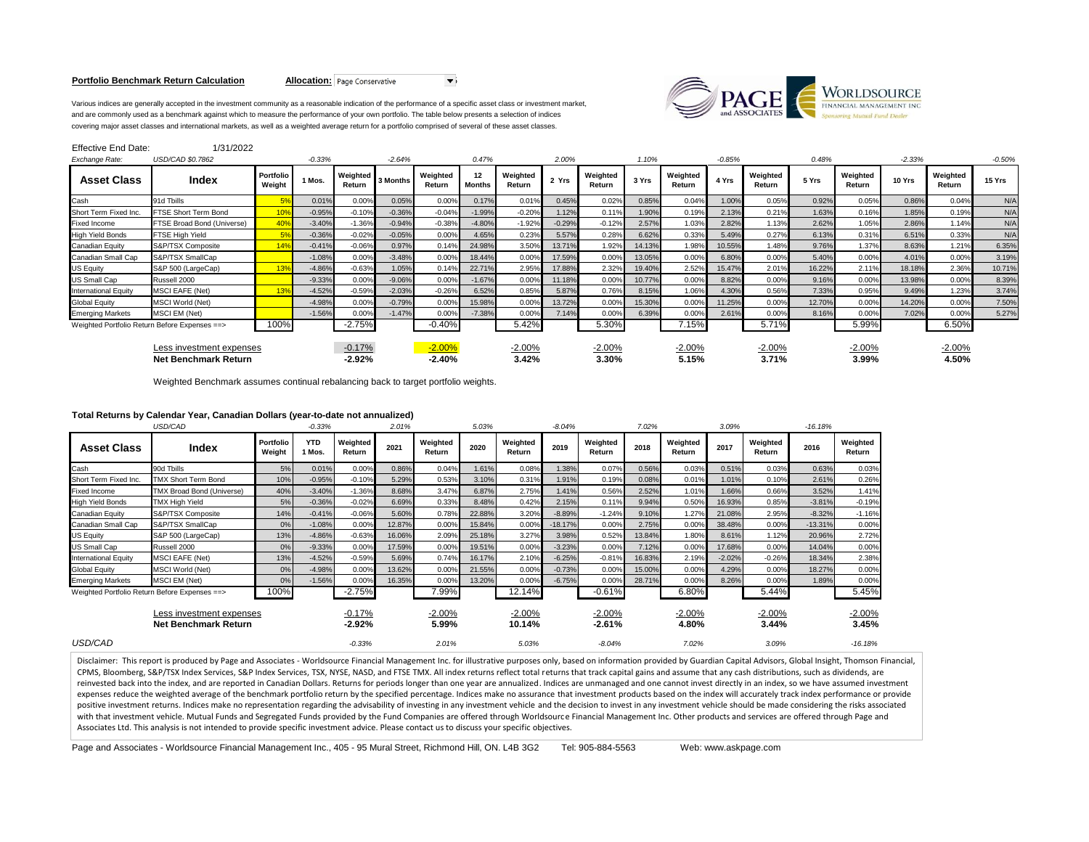# **Portfolio Benchmark Return Calculation <b>Allocation:** Page Conservative



Various indices are generally accepted in the investment community as a reasonable indication of the performance of a specific asset class or investment market, and are commonly used as a benchmark against which to measure the performance of your own portfolio. The table below presents a selection of indices covering major asset classes and international markets, as well as a weighted average return for a portfolio comprised of several of these asset classes.

| <b>Effective End Date:</b>                              | 1/31/2022                  |                     |          |                      |          |                      |                     |                    |          |                    |        |                    |          |                    |        |                    |          |                    |          |
|---------------------------------------------------------|----------------------------|---------------------|----------|----------------------|----------|----------------------|---------------------|--------------------|----------|--------------------|--------|--------------------|----------|--------------------|--------|--------------------|----------|--------------------|----------|
| Exchange Rate:                                          | USD/CAD \$0.7862           |                     | $-0.33%$ |                      | $-2.64%$ |                      | 0.47%               |                    | 2.00%    |                    | 1.10%  |                    | $-0.85%$ |                    | 0.48%  |                    | $-2.33%$ |                    | $-0.50%$ |
| <b>Asset Class</b>                                      | Index                      | Portfolio<br>Weight | 1 Mos.   | Weighted<br>Return   | 3 Months | Weighted<br>Return   | 12<br><b>Months</b> | Weighted<br>Return | 2 Yrs    | Weighted<br>Return | 3 Yrs  | Weighted<br>Return | 4 Yrs    | Weighted<br>Return | 5 Yrs  | Weighted<br>Return | 10 Yrs   | Weighted<br>Return | 15 Yrs   |
| Cash                                                    | 91d Tbills                 |                     | 0.01%    | 0.00%                | 0.05%    | 0.00%                | 0.17%               | 0.01%              | 0.45%    | 0.02%              | 0.85%  | 0.04%              | 1.00%    | 0.05%              | 0.92%  | 0.05%              | 0.86%    | 0.04%              | N/A      |
| Short Term Fixed Inc.                                   | FTSE Short Term Bond       |                     | $-0.95%$ | $-0.10%$             | $-0.36%$ | $-0.04%$             | $-1.99%$            | $-0.20%$           | 1.12%    | 0.11%              | 1.90%  | 0.19%              | 2.13%    | 0.21%              | 1.63%  | 0.16%              | 1.85%    | 0.19%              | N/A      |
| <b>Fixed Income</b>                                     | FTSE Broad Bond (Universe) | 40 <sup>o</sup>     | $-3.40%$ | $-1.36%$             | $-0.94%$ | $-0.38%$             | $-4.80%$            | $-1.92%$           | $-0.29%$ | $-0.12%$           | 2.57%  | 1.03%              | 2.82%    | 1.13%              | 2.62%  | 1.05%              | 2.86%    | 1.14%              | N/A      |
| <b>High Yield Bonds</b>                                 | <b>FTSE High Yield</b>     | 5 <sup>°</sup>      | $-0.36%$ | $-0.02%$             | $-0.05%$ | 0.00%                | 4.65%               | 0.23%              | 5.57%    | 0.28%              | 6.62%  | 0.33%              | 5.49%    | 0.27%              | 6.13%  | 0.31%              | 6.51%    | 0.33%              | N/A      |
| Canadian Equity                                         | S&P/TSX Composite          |                     | $-0.41%$ | $-0.06%$             | 0.97%    | 0.14%                | 24.98%              | 3.50%              | 13.71%   | 1.92%              | 14.13% | 1.98%              | 10.55%   | 1.48%              | 9.76%  | 1.37%              | 8.63%    | 1.21%              | 6.35%    |
| Canadian Small Cap                                      | S&P/TSX SmallCap           |                     | $-1.08%$ | 0.00%                | $-3.48%$ | 0.00%                | 18.44%              | 0.00%              | 17.59%   | 0.00%              | 13.05% | 0.00%              | 6.80%    | 0.00%              | 5.40%  | 0.00%              | 4.01%    | 0.00%              | 3.19%    |
| <b>US Equity</b>                                        | S&P 500 (LargeCap)         |                     | $-4.86%$ | $-0.63%$             | 1.05%    | 0.14%                | 22.71%              | 2.95%              | 17.88%   | 2.32%              | 19.40% | 2.52%              | 15.47%   | 2.01%              | 16.22% | 2.11%              | 18.18%   | 2.36%              | 10.71%   |
| <b>US Small Cap</b>                                     | Russell 2000               |                     | $-9.33%$ | 0.00%                | $-9.06%$ | 0.00%                | $-1.67%$            | 0.00%              | 11.18%   | 0.00%              | 10.77% | 0.00%              | 8.82%    | 0.00%              | 9.16%  | 0.00%              | 13.98%   | 0.00%              | 8.39%    |
| <b>International Equity</b>                             | <b>MSCI EAFE (Net)</b>     |                     | $-4.52%$ | $-0.59%$             | $-2.03%$ | $-0.26%$             | 6.52%               | 0.85%              | 5.87%    | 0.76%              | 8.15%  | 1.06%              | 4.30%    | 0.56%              | 7.33%  | 0.95%              | 9.49%    | 1.23%              | 3.74%    |
| <b>Global Equity</b>                                    | <b>MSCI World (Net)</b>    |                     | $-4.98%$ | 0.00%                | $-0.79%$ | 0.00%                | 15.98%              | 0.00%              | 13.72%   | 0.00%              | 15.30% | 0.00%              | 1.25%    | 0.00%              | 12.70% | 0.00%              | 14.20%   | 0.00%              | 7.50%    |
| <b>Emerging Markets</b>                                 | <b>MSCI EM (Net)</b>       |                     | $-1.56%$ | 0.00%                | $-1.47%$ | 0.00%                | $-7.38%$            | 0.00%              | 7.14%    | 0.00%              | 6.39%  | 0.00%              | 2.61%    | 0.00%              | 8.16%  | 0.00%              | 7.02%    | 0.00%              | 5.27%    |
| Weighted Portfolio Return Before Expenses ==>           |                            | 100%                |          | $-2.75%$             |          | $-0.40%$             |                     | 5.42%              |          | 5.30%              |        | 7.15%              |          | 5.71%              |        | 5.99%              |          | 6.50%              |          |
| Less investment expenses<br><b>Net Benchmark Return</b> |                            |                     |          | $-0.17%$<br>$-2.92%$ |          | $-2.00%$<br>$-2.40%$ |                     | $-2.00%$<br>3.42%  |          | -2.00%<br>3.30%    |        | $-2.00%$<br>5.15%  |          | $-2.00%$<br>3.71%  |        | $-2.00%$<br>3.99%  |          | $-2.00%$<br>4.50%  |          |

Weighted Benchmark assumes continual rebalancing back to target portfolio weights.

# **Total Returns by Calendar Year, Canadian Dollars (year-to-date not annualized)**

| USD/CAD                                                 |                                               |                     | $-0.33%$             |                      |        |                    | 5.03%  |                    | $-8.04%$  |                      | 7.02%  |                    | 3.09%    |                    | $-16.18%$ |                    |  |
|---------------------------------------------------------|-----------------------------------------------|---------------------|----------------------|----------------------|--------|--------------------|--------|--------------------|-----------|----------------------|--------|--------------------|----------|--------------------|-----------|--------------------|--|
| <b>Asset Class</b>                                      | Index                                         | Portfolio<br>Weight | <b>YTD</b><br>1 Mos. | Weighted<br>Return   | 2021   | Weighted<br>Return | 2020   | Weighted<br>Return | 2019      | Weighted<br>Return   | 2018   | Weighted<br>Return | 2017     | Weighted<br>Return | 2016      | Weighted<br>Return |  |
| Cash                                                    | 90d Tbills                                    | 5%                  | 0.01%                | 0.00%                | 0.86%  | 0.04%              | 1.61%  | 0.08%              | 1.38%     | 0.07%                | 0.56%  | 0.03%              | 0.51%    | 0.03%              | 0.63%     | 0.03%              |  |
| Short Term Fixed Inc.                                   | <b>TMX Short Term Bond</b>                    | 10%                 | $-0.95%$             | $-0.10%$             | 5.29%  | 0.53%              | 3.10%  | 0.31%              | 1.91%     | 0.19%                | 0.08%  | 0.01%              | 1.01%    | 0.10%              | 2.61%     | 0.26%              |  |
| <b>Fixed Income</b>                                     | TMX Broad Bond (Universe)                     | 40%                 | $-3.40%$             | $-1.36%$             | 8.68%  | 3.47%              | 6.87%  | 2.75%              | 1.41%     | 0.56%                | 2.52%  | 1.01%              | 1.66%    | 0.66%              | 3.52%     | 1.41%              |  |
| <b>High Yield Bonds</b>                                 | TMX High Yield                                | 5%                  | $-0.36%$             | $-0.02%$             | 6.69%  | 0.33%              | 8.48%  | 0.42%              | 2.15%     | 0.11%                | 9.94%  | 0.50%              | 16.93%   | 0.85%              | $-3.81%$  | $-0.19%$           |  |
| Canadian Equity                                         | S&P/TSX Composite                             | 14%                 | $-0.41%$             | $-0.06%$             | 5.60%  | 0.78%              | 22.88% | 3.20%              | $-8.89%$  | $-1.24%$             | 9.10%  | 1.27%              | 21.08%   | 2.95%              | $-8.32%$  | $-1.16%$           |  |
| Canadian Small Cap                                      | S&P/TSX SmallCap                              | 0%                  | $-1.08%$             | 0.00%                | 12.87% | 0.00%              | 15.84% | 0.00%              | $-18.17%$ | 0.00%                | 2.75%  | 0.00%              | 38.48%   | 0.00%              | $-13.31%$ | 0.00%              |  |
| <b>US Equity</b>                                        | S&P 500 (LargeCap)                            | 13%                 | $-4.86%$             | $-0.63%$             | 16.06% | 2.09%              | 25.18% | 3.27%              | 3.98%     | 0.52%                | 13.84% | 1.80%              | 8.61%    | 1.12%              | 20.96%    | 2.72%              |  |
| US Small Cap                                            | Russell 2000                                  | 0%                  | $-9.33%$             | 0.00%                | 17.59% | 0.00%              | 19.51% | 0.00%              | $-3.23%$  | 0.00%                | 7.12%  | 0.00%              | 17.68%   | 0.00%              | 14.04%    | 0.00%              |  |
| <b>International Equity</b>                             | <b>MSCI EAFE (Net)</b>                        | 13%                 | $-4.52%$             | $-0.59%$             | 5.69%  | 0.74%              | 16.17% | 2.10%              | $-6.25%$  | $-0.81%$             | 16.83% | 2.19%              | $-2.02%$ | $-0.26%$           | 18.34%    | 2.38%              |  |
| <b>Global Equity</b>                                    | <b>MSCI World (Net)</b>                       | 0%                  | $-4.98%$             | 0.00%                | 13.62% | 0.00%              | 21.55% | 0.00%              | $-0.73%$  | 0.00%                | 15.00% | 0.00%              | 4.29%    | 0.00%              | 18.27%    | 0.00%              |  |
| <b>Emerging Markets</b>                                 | MSCI EM (Net)                                 | 0%                  | $-1.56%$             | 0.00%                | 16.35% | 0.00%              | 13.20% | 0.00%              | $-6.75%$  | 0.00%                | 28.71% | 0.00%              | 8.26%    | 0.00%              | 1.89%     | 0.00%              |  |
|                                                         | Weighted Portfolio Return Before Expenses ==> | 100%                |                      | $-2.75%$             |        | 7.99%              |        | 12.14%             |           | $-0.61%$             |        | 6.80%              |          | 5.44%              |           | 5.45%              |  |
| Less investment expenses<br><b>Net Benchmark Return</b> |                                               |                     |                      | $-0.17%$<br>$-2.92%$ |        | $-2.00%$<br>5.99%  |        | $-2.00%$<br>10.14% |           | $-2.00%$<br>$-2.61%$ |        | $-2.00%$<br>4.80%  |          | $-2.00%$<br>3.44%  |           | $-2.00%$<br>3.45%  |  |
| USD/CAD                                                 |                                               |                     |                      | $-0.33%$             |        | 2.01%              |        | 5.03%              |           | $-8.04%$             |        | 7.02%              |          | 3.09%              |           | $-16.18%$          |  |

Disclaimer: This report is produced by Page and Associates - Worldsource Financial Management Inc. for illustrative purposes only, based on information provided by Guardian Capital Advisors, Global Insight, Thomson Financi CPMS, Bloomberg, S&P/TSX Index Services, S&P Index Services, TSX, NYSE, NASD, and FTSE TMX. All index returns reflect total returns that track capital gains and assume that any cash distributions, such as dividends, are reinvested back into the index, and are reported in Canadian Dollars. Returns for periods longer than one year are annualized. Indices are unmanaged and one cannot invest directly in an index, so we have assumed investment expenses reduce the weighted average of the benchmark portfolio return by the specified percentage. Indices make no assurance that investment products based on the index will accurately track index performance or provide positive investment returns. Indices make no representation regarding the advisability of investing in any investment vehicle and the decision to invest in any investment vehicle should be made considering the risks associ with that investment vehicle. Mutual Funds and Segregated Funds provided by the Fund Companies are offered through Worldsource Financial Management Inc. Other products and services are offered through Page and Associates Ltd. This analysis is not intended to provide specific investment advice. Please contact us to discuss your specific objectives.

Page and Associates - Worldsource Financial Management Inc., 405 - 95 Mural Street, Richmond Hill, ON. L4B 3G2 Tel: 905-884-5563 Web: www.askpage.com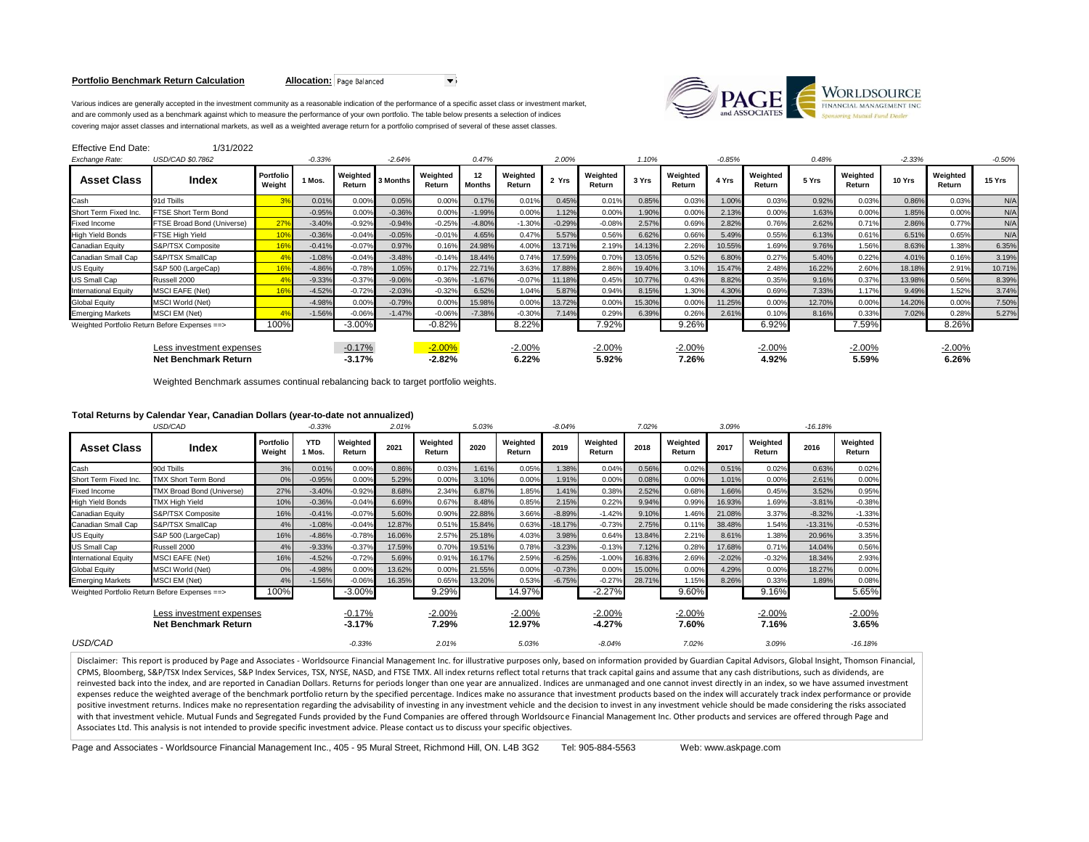# **Portfolio Benchmark Return Calculation <b>Allocation:** Page Balanced



Various indices are generally accepted in the investment community as a reasonable indication of the performance of a specific asset class or investment market, and are commonly used as a benchmark against which to measure the performance of your own portfolio. The table below presents a selection of indices covering major asset classes and international markets, as well as a weighted average return for a portfolio comprised of several of these asset classes.

| Effective End Date:                                     | 1/31/2022                  |                     |          |                      |          |                      |                     |                    |          |                    |        |                    |          |                    |        |                    |          |                    |          |
|---------------------------------------------------------|----------------------------|---------------------|----------|----------------------|----------|----------------------|---------------------|--------------------|----------|--------------------|--------|--------------------|----------|--------------------|--------|--------------------|----------|--------------------|----------|
| Exchange Rate:                                          | USD/CAD \$0.7862           |                     | $-0.33%$ |                      | $-2.64%$ |                      | 0.47%               |                    | 2.00%    |                    | 1.10%  |                    | $-0.85%$ |                    | 0.48%  |                    | $-2.33%$ |                    | $-0.50%$ |
| <b>Asset Class</b>                                      | Index                      | Portfolio<br>Weight | 1 Mos.   | Weighted<br>Return   | 3 Months | Weighted<br>Return   | 12<br><b>Months</b> | Weighted<br>Return | 2 Yrs    | Weighted<br>Return | 3 Yrs  | Weighted<br>Return | 4 Yrs    | Weighted<br>Return | 5 Yrs  | Weighted<br>Return | 10 Yrs   | Weighted<br>Return | 15 Yrs   |
| Cash                                                    | 91d Tbills                 |                     | 0.01%    | 0.00%                | 0.05%    | 0.00%                | 0.17%               | 0.01%              | 0.45%    | 0.01%              | 0.85%  | 0.03%              | 1.00%    | 0.03%              | 0.92%  | 0.03%              | 0.86%    | 0.03%              | N/A      |
| Short Term Fixed Inc.                                   | FTSE Short Term Bond       |                     | $-0.95%$ | 0.00%                | $-0.36%$ | 0.00%                | $-1.99%$            | 0.00%              | 1.12%    | 0.00%              | 1.90%  | 0.00%              | 2.13%    | 0.00%              | 1.63%  | 0.00%              | 1.85%    | 0.00%              | N/A      |
| <b>Fixed Income</b>                                     | FTSE Broad Bond (Universe) | 27 <sup>°</sup>     | $-3.40%$ | $-0.92%$             | $-0.94%$ | $-0.25%$             | $-4.80%$            | $-1.30%$           | $-0.29%$ | $-0.08%$           | 2.57%  | 0.69%              | 2.82%    | 0.76%              | 2.62%  | 0.71%              | 2.86%    | 0.77%              | N/A      |
| <b>High Yield Bonds</b>                                 | <b>FTSE High Yield</b>     |                     | $-0.36%$ | $-0.04%$             | $-0.05%$ | $-0.019$             | 4.65%               | 0.47%              | 5.57%    | 0.56%              | 6.62%  | 0.66%              | 5.49%    | 0.55%              | 6.13%  | 0.61%              | 6.51%    | 0.65%              | N/A      |
| Canadian Equity                                         | S&P/TSX Composite          |                     | $-0.41%$ | $-0.07%$             | 0.97%    | 0.16%                | 24.98%              | 4.00%              | 13.71%   | 2.19%              | 14.13% | 2.26%              | 10.55%   | 1.69%              | 9.76%  | 1.56%              | 8.63%    | 1.38%              | 6.35%    |
| Canadian Small Cap                                      | S&P/TSX SmallCap           |                     | $-1.08%$ | $-0.04%$             | $-3.48%$ | $-0.14%$             | 18.44%              | 0.74%              | 17.59%   | 0.70%              | 13.05% | 0.52%              | 6.80%    | 0.27%              | 5.40%  | 0.22%              | 4.01%    | 0.16%              | 3.19%    |
| <b>US Equity</b>                                        | S&P 500 (LargeCap)         |                     | $-4.86%$ | $-0.78%$             | 1.05%    | 0.17%                | 22.71%              | 3.63%              | 17.88%   | 2.86%              | 19.40% | 3.10%              | 15.47%   | 2.48%              | 16.22% | 2.60%              | 18.18%   | 2.91%              | 10.71%   |
| <b>US Small Cap</b>                                     | Russell 2000               |                     | $-9.33%$ | $-0.37%$             | $-9.06%$ | $-0.36%$             | $-1.67%$            | $-0.07%$           | 11.18%   | 0.45%              | 10.77% | 0.43%              | 8.82%    | 0.35%              | 9.16%  | 0.37%              | 13.98%   | 0.56%              | 8.39%    |
| <b>International Equity</b>                             | <b>MSCI EAFE (Net)</b>     |                     | $-4.52%$ | $-0.72%$             | $-2.03%$ | $-0.32%$             | 6.52%               | 1.04%              | 5.87%    | 0.94%              | 8.15%  | 1.30%              | 4.30%    | 0.69%              | 7.33%  | 1.17%              | 9.49%    | 1.52%              | 3.74%    |
| <b>Global Equity</b>                                    | <b>MSCI World (Net)</b>    |                     | $-4.98%$ | 0.00%                | $-0.79%$ | 0.00%                | 15.98%              | 0.00%              | 13.72%   | 0.00%              | 15.30% | 0.00%              | 1.25%    | 0.00%              | 12.70% | 0.00%              | 14.20%   | 0.00%              | 7.50%    |
| <b>Emerging Markets</b>                                 | MSCI EM (Net)              |                     | $-1.56%$ | $-0.06%$             | $-1.47%$ | $-0.06%$             | $-7.38%$            | $-0.30%$           | 7.14%    | 0.29%              | 6.39%  | 0.26%              | 2.61%    | 0.10%              | 8.16%  | 0.33%              | 7.02%    | 0.28%              | 5.27%    |
| Weighted Portfolio Return Before Expenses ==>           |                            | 100%                |          | $-3.00\%$            |          | $-0.82%$             |                     | 8.22%              |          | 7.92%              |        | 9.26%              |          | 6.92%              |        | 7.59%              |          | 8.26%              |          |
| Less investment expenses<br><b>Net Benchmark Return</b> |                            |                     |          | $-0.17%$<br>$-3.17%$ |          | $-2.00%$<br>$-2.82%$ |                     | $-2.00%$<br>6.22%  |          | $-2.00%$<br>5.92%  |        | $-2.00%$<br>7.26%  |          | $-2.00%$<br>4.92%  |        | $-2.00%$<br>5.59%  |          | $-2.00%$<br>6.26%  |          |

Weighted Benchmark assumes continual rebalancing back to target portfolio weights.

# **Total Returns by Calendar Year, Canadian Dollars (year-to-date not annualized)**

|                                                         | USD/CAD                                       |                     | $-0.33%$             |                      | 2.01%  |                    | 5.03%  |                    | $-8.04%$  |                      | 7.02%  |                    | 3.09%    |                    | $-16.18%$ |                    |
|---------------------------------------------------------|-----------------------------------------------|---------------------|----------------------|----------------------|--------|--------------------|--------|--------------------|-----------|----------------------|--------|--------------------|----------|--------------------|-----------|--------------------|
| <b>Asset Class</b>                                      | Index                                         | Portfolio<br>Weight | <b>YTD</b><br>1 Mos. | Weighted<br>Return   | 2021   | Weighted<br>Return | 2020   | Weighted<br>Return | 2019      | Weighted<br>Return   | 2018   | Weighted<br>Return | 2017     | Weighted<br>Return | 2016      | Weighted<br>Return |
| Cash                                                    | 90d Tbills                                    | 3%                  | 0.01%                | 0.00%                | 0.86%  | 0.03%              | 1.61%  | 0.05%              | 1.38%     | 0.04%                | 0.56%  | 0.02%              | 0.51%    | 0.02%              | 0.63%     | 0.02%              |
| Short Term Fixed Inc.                                   | <b>TMX Short Term Bond</b>                    | 0%                  | $-0.95%$             | 0.00%                | 5.29%  | 0.00%              | 3.10%  | 0.00%              | 1.91%     | 0.00%                | 0.08%  | 0.00%              | 1.01%    | 0.00%              | 2.61%     | 0.00%              |
| <b>Fixed Income</b>                                     | TMX Broad Bond (Universe)                     | 27%                 | $-3.40%$             | $-0.92%$             | 8.68%  | 2.34%              | 6.87%  | 1.85%              | 1.41%     | 0.38%                | 2.52%  | 0.68%              | 1.66%    | 0.45%              | 3.52%     | 0.95%              |
| <b>High Yield Bonds</b>                                 | <b>TMX High Yield</b>                         | 10%                 | $-0.36%$             | $-0.04%$             | 6.69%  | 0.67%              | 8.48%  | 0.85%              | 2.15%     | 0.22%                | 9.94%  | 0.99%              | 16.93%   | 1.69%              | $-3.81%$  | $-0.38%$           |
| Canadian Equity                                         | S&P/TSX Composite                             | 16%                 | $-0.41%$             | $-0.07%$             | 5.60%  | 0.90%              | 22.88% | 3.66%              | $-8.89%$  | $-1.42%$             | 9.10%  | 1.46%              | 21.08%   | 3.37%              | $-8.32%$  | $-1.33%$           |
| Canadian Small Cap                                      | S&P/TSX SmallCap                              | 4%                  | $-1.08%$             | $-0.04%$             | 12.87% | 0.51%              | 15.84% | 0.63%              | $-18.17%$ | $-0.73%$             | 2.75%  | 0.11%              | 38.48%   | 1.54%              | $-13.31%$ | $-0.53%$           |
| <b>US Equity</b>                                        | S&P 500 (LargeCap)                            | 16%                 | $-4.86%$             | $-0.78%$             | 16.06% | 2.57%              | 25.18% | 4.03%              | 3.98%     | 0.64%                | 13.84% | 2.21%              | 8.61%    | 1.38%              | 20.96%    | 3.35%              |
| <b>US Small Cap</b>                                     | Russell 2000                                  | 4%                  | $-9.33%$             | $-0.37%$             | 17.59% | 0.70%              | 19.51% | 0.78%              | $-3.23%$  | $-0.13%$             | 7.12%  | 0.28%              | 17.68%   | 0.71%              | 14.04%    | 0.56%              |
| <b>International Equity</b>                             | <b>MSCI EAFE (Net)</b>                        | 16%                 | $-4.52%$             | $-0.72%$             | 5.69%  | 0.91%              | 16.17% | 2.59%              | $-6.25%$  | $-1.00%$             | 16.83% | 2.69%              | $-2.02%$ | $-0.32%$           | 18.34%    | 2.93%              |
| <b>Global Equity</b>                                    | MSCI World (Net)                              | 0%                  | $-4.98%$             | 0.00%                | 13.62% | 0.00%              | 21.55% | 0.00%              | $-0.73%$  | 0.00%                | 15.00% | 0.00%              | 4.29%    | 0.00%              | 18.27%    | 0.00%              |
| <b>Emerging Markets</b>                                 | MSCI EM (Net)                                 | 4%                  | $-1.56%$             | $-0.06%$             | 16.35% | 0.65%              | 13.20% | 0.53%              | $-6.75%$  | $-0.27%$             | 28.71% | 1.15%              | 8.26%    | 0.33%              | 1.89%     | 0.08%              |
|                                                         | Weighted Portfolio Return Before Expenses ==> | 100%                |                      | $-3.00%$             |        | 9.29%              |        | 14.97%             |           | $-2.27%$             |        | 9.60%              |          | 9.16%              |           | 5.65%              |
| Less investment expenses<br><b>Net Benchmark Return</b> |                                               |                     |                      | $-0.17%$<br>$-3.17%$ |        | $-2.00%$<br>7.29%  |        | $-2.00%$<br>12.97% |           | $-2.00%$<br>$-4.27%$ |        | $-2.00%$<br>7.60%  |          | $-2.00%$<br>7.16%  |           | $-2.00%$<br>3.65%  |
| USD/CAD                                                 |                                               |                     |                      | $-0.33%$             |        | 2.01%              |        | 5.03%              |           | $-8.04%$             |        | 7.02%              |          | 3.09%              |           | $-16.18%$          |

Disclaimer: This report is produced by Page and Associates - Worldsource Financial Management Inc. for illustrative purposes only, based on information provided by Guardian Capital Advisors, Global Insight, Thomson Financi CPMS, Bloomberg, S&P/TSX Index Services, S&P Index Services, TSX, NYSE, NASD, and FTSE TMX. All index returns reflect total returns that track capital gains and assume that any cash distributions, such as dividends, are reinvested back into the index, and are reported in Canadian Dollars. Returns for periods longer than one year are annualized. Indices are unmanaged and one cannot invest directly in an index, so we have assumed investment expenses reduce the weighted average of the benchmark portfolio return by the specified percentage. Indices make no assurance that investment products based on the index will accurately track index performance or provide positive investment returns. Indices make no representation regarding the advisability of investing in any investment vehicle and the decision to invest in any investment vehicle should be made considering the risks associ with that investment vehicle. Mutual Funds and Segregated Funds provided by the Fund Companies are offered through Worldsource Financial Management Inc. Other products and services are offered through Page and Associates Ltd. This analysis is not intended to provide specific investment advice. Please contact us to discuss your specific objectives.

Page and Associates - Worldsource Financial Management Inc., 405 - 95 Mural Street, Richmond Hill, ON. L4B 3G2 Tel: 905-884-5563 Web: www.askpage.com